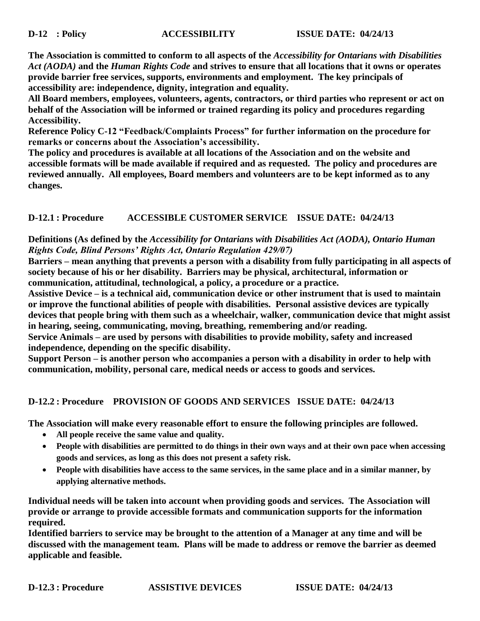**The Association is committed to conform to all aspects of the** *Accessibility for Ontarians with Disabilities Act (AODA)* **and the** *Human Rights Code* **and strives to ensure that all locations that it owns or operates provide barrier free services, supports, environments and employment. The key principals of accessibility are: independence, dignity, integration and equality.**

**All Board members, employees, volunteers, agents, contractors, or third parties who represent or act on behalf of the Association will be informed or trained regarding its policy and procedures regarding Accessibility.**

**Reference Policy C-12 "Feedback/Complaints Process" for further information on the procedure for remarks or concerns about the Association's accessibility.**

**The policy and procedures is available at all locations of the Association and on the website and accessible formats will be made available if required and as requested. The policy and procedures are reviewed annually. All employees, Board members and volunteers are to be kept informed as to any changes.**

# **D-12.1 : Procedure ACCESSIBLE CUSTOMER SERVICE ISSUE DATE: 04/24/13**

### **Definitions (As defined by the** *Accessibility for Ontarians with Disabilities Act (AODA), Ontario Human Rights Code, Blind Persons' Rights Act, Ontario Regulation 429/07)*

**Barriers – mean anything that prevents a person with a disability from fully participating in all aspects of society because of his or her disability. Barriers may be physical, architectural, information or communication, attitudinal, technological, a policy, a procedure or a practice.**

**Assistive Device – is a technical aid, communication device or other instrument that is used to maintain or improve the functional abilities of people with disabilities. Personal assistive devices are typically devices that people bring with them such as a wheelchair, walker, communication device that might assist in hearing, seeing, communicating, moving, breathing, remembering and/or reading.**

**Service Animals – are used by persons with disabilities to provide mobility, safety and increased independence, depending on the specific disability.** 

**Support Person – is another person who accompanies a person with a disability in order to help with communication, mobility, personal care, medical needs or access to goods and services.** 

# **D-12.2 : Procedure PROVISION OF GOODS AND SERVICES ISSUE DATE: 04/24/13**

**The Association will make every reasonable effort to ensure the following principles are followed.**

- **All people receive the same value and quality.**
- **People with disabilities are permitted to do things in their own ways and at their own pace when accessing goods and services, as long as this does not present a safety risk.**
- **People with disabilities have access to the same services, in the same place and in a similar manner, by applying alternative methods.**

**Individual needs will be taken into account when providing goods and services. The Association will provide or arrange to provide accessible formats and communication supports for the information required.** 

**Identified barriers to service may be brought to the attention of a Manager at any time and will be discussed with the management team. Plans will be made to address or remove the barrier as deemed applicable and feasible.**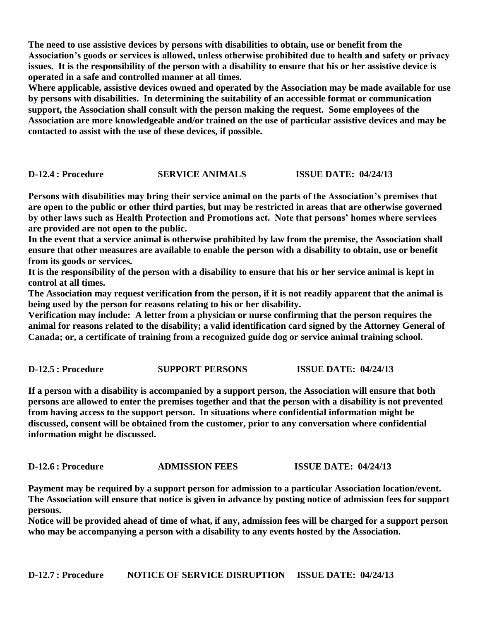**The need to use assistive devices by persons with disabilities to obtain, use or benefit from the Association's goods or services is allowed, unless otherwise prohibited due to health and safety or privacy issues. It is the responsibility of the person with a disability to ensure that his or her assistive device is operated in a safe and controlled manner at all times.**

**Where applicable, assistive devices owned and operated by the Association may be made available for use by persons with disabilities. In determining the suitability of an accessible format or communication support, the Association shall consult with the person making the request. Some employees of the Association are more knowledgeable and/or trained on the use of particular assistive devices and may be contacted to assist with the use of these devices, if possible.**

#### **D-12.4 : Procedure SERVICE ANIMALS ISSUE DATE: 04/24/13**

**Persons with disabilities may bring their service animal on the parts of the Association's premises that are open to the public or other third parties, but may be restricted in areas that are otherwise governed by other laws such as Health Protection and Promotions act. Note that persons' homes where services are provided are not open to the public.**

**In the event that a service animal is otherwise prohibited by law from the premise, the Association shall ensure that other measures are available to enable the person with a disability to obtain, use or benefit from its goods or services.** 

**It is the responsibility of the person with a disability to ensure that his or her service animal is kept in control at all times.**

**The Association may request verification from the person, if it is not readily apparent that the animal is being used by the person for reasons relating to his or her disability.** 

**Verification may include: A letter from a physician or nurse confirming that the person requires the animal for reasons related to the disability; a valid identification card signed by the Attorney General of Canada; or, a certificate of training from a recognized guide dog or service animal training school.**

#### **D-12.5 : Procedure SUPPORT PERSONS ISSUE DATE: 04/24/13**

**If a person with a disability is accompanied by a support person, the Association will ensure that both persons are allowed to enter the premises together and that the person with a disability is not prevented from having access to the support person. In situations where confidential information might be discussed, consent will be obtained from the customer, prior to any conversation where confidential information might be discussed.**

**D-12.6 : Procedure ADMISSION FEES ISSUE DATE: 04/24/13**

**Payment may be required by a support person for admission to a particular Association location/event. The Association will ensure that notice is given in advance by posting notice of admission fees for support persons.** 

**Notice will be provided ahead of time of what, if any, admission fees will be charged for a support person who may be accompanying a person with a disability to any events hosted by the Association.**